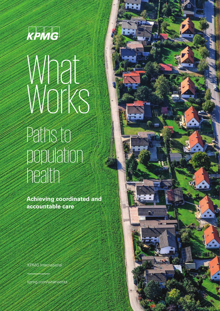

# Paths to population health What Works

**Achieving coordinated and accountable care**

a a

KPMG International

[kpmg.com/whatworks](http://www.kpmg.com/whatworks)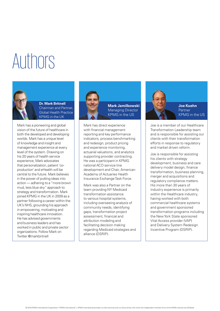## Authors



**Dr. Mark Britnell** Chairman and Partner, Global Health Practice KPMG in the UK

Mark has a pioneering and global vision of the future of healthcare in both the developed and developing worlds. Mark has a unique level of knowledge and insight and management experience at every level of the system. Drawing on his 20 years of health service experience, Mark advocates that personalization, patient 'coproduction' and eHealth will be central to the future. Mark believes in the power of putting ideas into action — adhering to a "more brown mud, less blue sky" approach to strategy and transformation. Mark joined KPMG in the UK in 2009 as a partner following a career within the UK's NHS, grounding his approach in empowering, motivating and inspiring healthcare innovation. He has advised governments and business leaders and has worked in public and private sector organizations. Follow Mark on Twitter @markbritnell



**Mark Jamilkowski** Managing Director KPMG in the US

Mark has direct experience with financial management reporting and key performance indicators, process benchmarking and redesign, product pricing and experience monitoring, actuarial valuations, and analytics supporting provider contracting. He was a participant in KPMG national ACO service line development and Chair, American Academy of Actuaries Health Insurance Exchange Task Force.

Mark was also a Partner on the team providing NY Medicaid transformation assistance to various hospital systems, including overseeing analysis of community needs, identifying gaps, transformation project assessment, financial and attribution modeling and facilitating decision making regarding Medicaid strategies and alliance (DSRIP).



**Joe Kuehn Partner** KPMG in the US

Joe is a member of our Healthcare Transformation Leadership team and is responsible for assisting our clients with their transformation efforts in response to regulatory and market driven reform.

Joe is responsible for assisting his clients with strategy development, business and care delivery model design, finance transformation, business planning, merger and acquisitions and regulatory compliance matters. His more than 30 years of industry experience is primarily within the Healthcare industry. having worked with both commercial healthcare systems and government sponsored transformation programs including the New York State sponsored Vital Access provider (VAP) and Delivery System Redesign Incentive Program (DSRIP).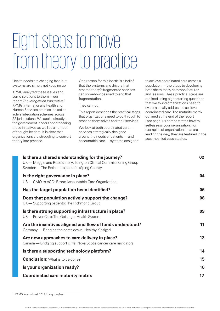## Eight steps to move from theory to practice

Health needs are changing fast, but systems are simply not keeping up.

KPMG analyzed these issues and some solutions to them in our report *The Integration Imperative*. 1 KPMG International's Health and Human Services practice looked at active integration schemes across 22 jurisdictions. We spoke directly to the government leaders spearheading these initiatives as well as a number of thought leaders. It is clear that organizations are struggling to convert theory into practice.

One reason for this inertia is a belief that the systems and drivers that created today's fragmented services can somehow be used to end that fragmentation.

They cannot.

This report describes the practical steps that organizations need to go through to reshape themselves and their services.

We look at both coordinated care services strategically designed around the needs of patients — and accountable care — systems designed

to achieve coordinated care across a population — the steps to developing both share many common features and lessons. These practical steps are outlined using eight starting questions that we found organizations need to systematically address to achieve coordinated care. The maturity matrix outlined at the end of the report (see page 17) demonstrates how to self-assess your organization. For examples of organizations that are leading the way, they are featured in the accompanied case studies.

| Is there a shared understanding for the journey?<br>UK - Maggie and Rose's story: Islington Clinical Commissioning Group<br>Sweden - The Esther project: Jönköping County | 02 |
|---------------------------------------------------------------------------------------------------------------------------------------------------------------------------|----|
| Is the right governance in place?<br>US - CMO to ACO: Bronx Accountable Care Organization                                                                                 | 04 |
| Has the target population been identified?                                                                                                                                | 06 |
| Does that population actively support the change?<br>UK - Supporting patients: The Richmond Group                                                                         | 08 |
| Is there strong supporting infrastructure in place?<br>US - ProvenCare: The Geisinger Health System                                                                       | 09 |
| Are the incentives aligned and flow of funds understood?<br>Germany - Bringing the costs down: Healthy Kinzigtal                                                          | 11 |
| Are new approaches to care delivery in place?<br>Canada — Bridging support cliffs: Nova Scotia cancer care navigators                                                     | 13 |
| Is there a supporting technology platform?                                                                                                                                | 14 |
| <b>Conclusion:</b> What is to be done?                                                                                                                                    | 15 |
| Is your organization ready?                                                                                                                                               | 16 |
| <b>Coordinated care maturity matrix</b>                                                                                                                                   | 17 |

<sup>1.</sup> KPMG International, 2013, kpmg.com/hss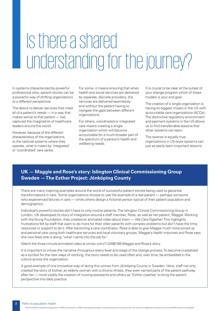## Is there a shared understanding for the journey?

In systems characterized by powerful professional silos, patient stories can be a powerful way of shifting organizations to a different perspective.

The desire to deliver services that meet all of a patient's needs — in a way that makes sense to that patient — has captured the imagination of healthcare leaders around the world.

However, because of the different characteristics of the organizations, or the national systems where they operate, what is meant by 'integrated' or 'coordinated' care varies.

For some, it means ensuring that when health and social services are delivered by separate, discrete providers, the services are delivered seamlessly and without the patient having to navigate the gaps between different organizations.

For others, coordinated or integrated care means creating a single organization which will become accountable for a much broader part of the spectrum of a person's health and wellbeing needs.

It is crucial to be clear at the outset of your change program which of these models is your end goal.

The creation of a single organization is having its biggest impact in the US with accountable care organizations (ACOs). The distinctive regulatory environment and payment systems in the US allows us to find transferrable lessons that other systems can learn.

The reverse is equally true: organizations in US-style systems can just as easily learn important lessons

### **UK — Maggie and Rose's story: Islington Clinical Commissioning Group Sweden — The Esther Project: Jönköping County**

There are many inspiring examples around the world of successful patient stories being used to galvanize transformations in care. Some organizations choose to use the example of a real patient — perhaps someone who experienced failures in care — while others design a fictional person typical of their patient population and demographics.

Individual's powerful stories don't have to only involve patients. The Islington Clinical Commissioning Group in London, UK developed its story of integration around a staff member, Rose, as well as her patient, Maggie. Working with the Young Foundation, they created an animated video about them — *We Care Together*. This highlights frustrations felt by staff that want to do more for their older patients with complex problems but don't have the time, resources or support to do it. After becoming a care coordinator, Rose is able to give Maggie much more joined up and personal care using both healthcare services and local voluntary groups. Maggie's health improves and Rose says she now feels she is doing "what I came into the job for".

Watch the three minute animated video at vimeo.com/112496186-Maggie and Rose's story.

It is important to infuse the narrative throughout every level and stage of the change process. To become crystalized as a symbol for the new ways of working, the story needs to be used often and, over time, be embedded in the culture across the organization.

A good example of one innovative way of doing this comes from Jönköping County in Sweden. Here, staff not only created the story of Esther, an elderly woman with a chronic illness, they even named parts of the patient pathway after her — most visibly the creation of nursing assistants and others as 'Esther coaches' to bring the patient perspective into daily practice.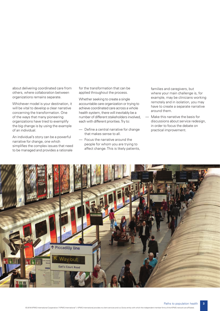about delivering coordinated care from others, where collaboration between organizations remains separate.

Whichever model is your destination, it will be vital to develop a clear narrative concerning the transformation. One of the ways that many pioneering organizations have tried to exemplify the big change is by using the example of an individual.

An individual's story can be a powerful narrative for change, one which simplifies the complex issues that need to be managed and provides a rationale for the transformation that can be applied throughout the process.

Whether seeking to create a single accountable care organization or trying to achieve coordinated care across a whole health system, there will inevitably be a number of different stakeholders involved, each with different priorities. Try to:

- Define a central narrative for change that makes sense to all.
- Focus the narrative around the people for whom you are trying to affect change. This is likely patients,

families and caregivers, but where your main challenge is, for example, may be clinicians working remotely and in isolation, you may have to create a separate narrative around them.

— Make this narrative the basis for discussions about service redesign, in order to focus the debate on practical improvement.

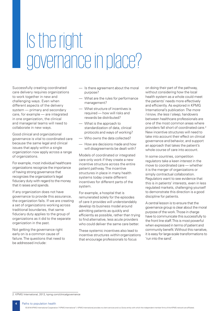## Is the right governance in place?

Successfully creating coordinated care delivery requires organizations to work together in new and challenging ways. Even when different aspects of the delivery system — primary and secondary care, for example — are integrated in one organization, the clinical and managerial teams will need to collaborate in new ways.

Good clinical and organizational governance is vital to coordinated care because the same legal and clinical issues that apply within a single organization now apply across a range of organizations.

For example, most individual healthcare organizations recognize the importance of having strong governance that recognizes the organization's legal fiduciary duty with regard to the money that it raises and spends.

If any organization does not have governance to provide this assurance, the organization fails. If we are creating a set of organizations working across traditional boundaries, that same fiduciary duty applies to the group of organizations as it did to the separate organization in the past.

Not getting the governance right early on is a common cause of failure. The questions that need to be addressed include:

- Is there agreement about the moral purpose?
- What are the rules for performance management?
- What structure of incentives is required — how will risks and rewards be distributed?
- What is the approach to standardization of data, clinical protocols and ways of working?
- Who owns the data collected?
- How are decisions made and how will disagreements be dealt with?

Models of coordinated or integrated care only work if they create a new incentive structure across the entire patient pathway. The incentive structures in place in many health systems today create different incentives for different parts of the system.

For example, a hospital that is remunerated solely for the episodes of care it provides will understandably develop its business model around admitting patients as quickly and efficiently as possible, rather than trying to find alternative, less acute providers who could deliver the same care better.

These systemic incentives also lead to incentive structures *within* organizations that encourage professionals to focus

on doing their part of the pathway, without considering how the local health system as a whole could meet the patients' needs more effectively and efficiently. As explored in KPMG International's publication *The more I know, the less I sleep*, handovers between healthcare professionals are one of the most common areas where providers fall short of coordinated care.2 New incentive structures will need to take into account their effect on clinical governance and behavior, and support an approach that takes the patient's whole course of care into account.

In some countries, competition regulators take a keen interest in the move to coordinated care — whether it is the merger of organizations or simply contractual collaboration. Regulators want to see evidence that this is in patients' interests, even in less regulated markets, challenging yourself to demonstrate this direction is a good discipline for patients.

A central lesson is to ensure that the governance group is clear about the moral purpose of the work. Those in charge have to communicate this successfully to the front line staff. This is most powerful when expressed in terms of patient and community benefit. Without this narrative, it is easy for large-scale transformations to 'run into the sand'.

2. KPMG International, 2013, kpmg.com/clinicalgovernance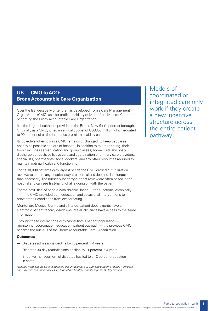### **US — CMO to ACO: Bronx Accountable Care Organization**

Over the last decade Montefiore has developed from a Care Management Organization (CMO) as a for-profit subsidiary of Montefiore Medical Center, to becoming the Bronx Accountable Care Organization.

It is the largest healthcare provider in the Bronx, New York's poorest borough. Originally as a CMO, it had an annual budget of US\$850 million which equated to 90 percent of all the insurance premiums paid by patients.

Its objective when it was a CMO remains unchanged: to keep people as healthy as possible and out of hospital. In addition to telemonitoring, their toolkit includes self-education and group classes; home visits and postdischarge outreach; palliative care and coordination of primary care providers, specialists, pharmacists, social workers; and any other resources required to maintain optimal health and functioning.

For its 30,000 patients with largest needs the CMO carried out utilization reviews to ensure any hospital stay is essential and does not last longer than necessary. The nurses who carry out that review are often based in the hospital and can see first-hand what is going on with the patient.

For the next 'tier' of people with chronic illness — the functional chronically ill — the CMO provided both education and occasional interventions to prevent their conditions from exacerbating.

Montefiore Medical Centre and all its outpatient departments have an electronic patient record, which ensures all clinicians have access to the same information.

Through these interactions with Montefiore's patient population monitoring, coordination, education, patient outreach — the previous CMO became the nucleus of the Bronx Accountable Care Organization.

#### **Outcomes:**

- Diabetes admissions decline by 13 percent in 4 years
- Diabetes 30-day readmissions decline by 11 percent in 4 years
- Effective management of diabetes has led to a 12 percent reduction in costs

*Adapted from 'On the Cutting Edge of Accountable Care' (2012); and outcome figures from slide show by Stephan Rosenthal, COO, Montefiore Contract are Management Organization.*

Models of coordinated or integrated care only work if they create a new incentive structure across the entire patient pathway.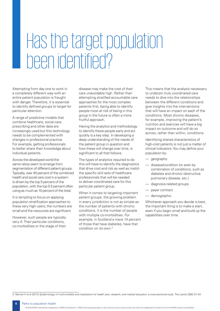## Has the target population been identified?

Attempting from day one to work in a completely different way with an entire patient population is fraught with danger. Therefore, it is essential to identify defined groups to target for particular attention.

A range of predictive models that combine healthcare, social care, prescribing and other data are increasingly used but this technology needs to be complemented with changes in professional practice. For example, getting professionals to better share their knowledge about individual patients.

Across the developed world the same ratios seem to emerge from segmentation of different patient groups. Typically, over 40 percent of the combined health and social care cost in a system is driven by the top 5 percent of the population, with the top 0.5 percent often using as much as 10 percent of the total.

It is tempting to focus on applying population stratification approaches to these very high users; the numbers are small and the resources are significant.

However, such people are typically very ill. Their particular conditions, co-morbidities or the stage of their

disease may make the cost of their care unavoidably high. Rather than attempting stratified accountable care approaches for the most complex patients first, being able to identify people most at risk of being in this group in the future is often a more fruitful approach.

Having the analytics and methodology to identify these people early and act quickly is a key step. In developing a deep understanding of the needs of the patient group in question and how these will change over time, is significant to all that follows.

The types of analytics required to do this will have to identify the diagnostics that drive cost and risk as well as match the specific skill sets of healthcare professionals that will be needed to deliver coordinated care for this particular patient group.

When it comes to targeting important patient groups, the growing problem in every jurisdiction is not as simple as the number of patients with chronic conditions, it is the number of people with multiple co-morbidities. For example, in Scotland a mere 14 percent of those that have diabetes, have that condition on its own.3

This means that the analysis necessary to underpin truly coordinated care needs to dive into the relationships between the different conditions and give insights into the interventions that will have an impact on each of the conditions. Most chronic diseases, for example, improving the patient's nutrition and exercise will have a big impact on outcome and will do so across, rather than within, conditions.

Identifying shared characteristics of high-cost patients is not just a matter of clinical indicators. You may define your population by:

- geography
- disease/condition (or even by combination of conditions, such as diabetes and chronic obstructive pulmonary disease, etc.)
- diagnosis-related groups
- payer contract
- demographic.

Whichever approach you decide is best, the important thing is to make a start, even if you begin small and build up the capabilities over time.

3. Barnett K et al (2012) *Epidemiology of multimorbidity and implications for health care, research, and medical education: a cross-sectional study*. The Lancet (380) 37–43.

**6** Paths to population health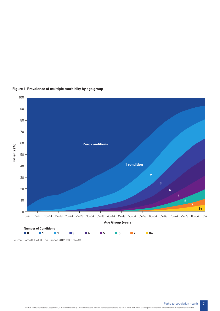



Source: Barnett K et al. The Lancet 2012; 380: 37–43.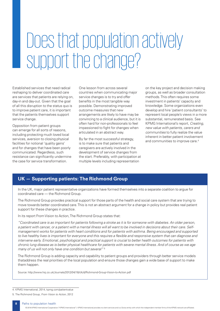## Does that population actively support the change?

Established services that need radical reshaping to deliver coordinated care are services that patients are relying on, day-in and day-out. Given that the goal of all this disruption to the status quo is to improve patient care, it is important that the patients themselves support service change.

Opposition from patient groups can emerge for all sorts of reasons, including protecting much loved local services, aversion to closing physical facilities for notional 'quality gains' and for changes that have been poorly communicated. Regardless, such resistance can significantly undermine the case for service transformation.

One lesson from across several countries when communicating major service changes is to try and offer benefits in the most tangible way possible. Demonstrating improved outcome measures that new arrangements are likely to have may be convincing to a clinical audience, but it is often hard for non-professionals to feel impassioned to fight for changes when articulated in an abstract way.

By far the most successful strategy, is to make sure that patients and caregivers are actively involved in the development of service changes from the start. Preferably, with participation at multiple levels including representation

on the key project and decision making groups, as well as broader consultation methods. This often requires some investment in patients' capacity and knowledge. Some organizations even develop and hire 'patient consultants' to represent local people's views in a more substantial, remunerated basis. See KPMG International's report, *Creating, new value with patients, carers and communities* to fully realize the value inherent in better patient involvement and communities to improve care.4

### **UK — Supporting patients: The Richmond Group**

In the UK, major patient representative organizations have formed themselves into a separate coalition to argue for coordinated care — the Richmond Group.

The Richmond Group provides practical support for those parts of the health and social care system that are trying to move towards better coordinated care. This is not an abstract argument for a change in policy but provides real patient support for these changes in practice.

In its report From Vision to Action, The Richmond Group states that:

*"Coordinated care is as important for patients following a stroke as it is for someone with diabetes. An older person, a patient with cancer, or a patient with a mental illness will all want to be involved in decisions about their care. Selfmanagement works for patients with heart conditions and for patients with asthma. Being encouraged and supported* to live healthy lives is important for everyone and this requires a flexible and responsive system that can diagnose and *intervene early. Emotional, psychological and practical support is crucial to better health outcomes for patients with chronic lung disease as is better physical healthcare for patients with severe mental illness. And of course as we age many of us will not only have one condition but several"* <sup>5</sup>

The Richmond Group is adding capacity and capability to patient groups and providers through better service models thataddress the real priorities of the local population and ensure those changes gain a wide base of support to make them happen.

Source: http://www.hsj.co.uk/Journals/2012/04/18/r/k/d/Richmond-Group-Vision-to-Action.pdf

<sup>4.</sup> KPMG International, 2014, kpmg.com/patientvalue

<sup>5.</sup> The Richmond Group, *From Vision to Action*, 2012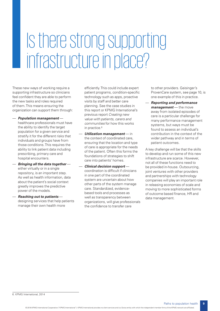## Is there strong supporting infrastructure in place?

These new ways of working require a supporting infrastructure so clinicians feel confident they are able to perform the new tasks and roles required of them. This means ensuring the organization can support them through:

- *Population management*  healthcare professionals must have the ability to identify the target population for a given service and stratify it for the different risks that individuals and groups have from those conditions. This requires the ability to link patient data including prescribing, primary care and hospital encounters.
- *Bringing all the data together*  either virtually or in a single repository, is an important step. As well as health information, data about the patient's social context greatly improves the predictive power of the models.
- *Reaching out to patients* designing services that help patients manage their own health more

efficiently. This could include expert patient programs, condition-specific technology such as apps, proactive visits by staff and better care planning. See the case studies in this report or KPMG International's previous report *Creating new value with patients, carers and communities* for how this works in practice.<sup>6</sup>

- *Utilization management* in the context of coordinated care, ensuring that the location and type of care is appropriate for the needs of the patient. Often this forms the foundations of strategies to shift care into patients' homes.
- *Clinical decision support* coordination is difficult if clinicians in one part of the coordinated system are uncertain about how other parts of the system manage care. Standardized, evidencebased tools and processes as well as transparency between organizations, will give professionals the confidence to transfer care

to other providers. Geisinger's ProvenCare system, see page 10, is one example of this in practice.

— *Reporting and performance management* — the move away from isolated episodes of care is a particular challenge for many performance management systems, but ways must be found to assess an individual's contribution in the context of the wider pathway and in terms of patient outcomes.

A key challenge will be that the skills to develop and run some of this new infrastructure are scarce. However, not all of these functions need to be provided in-house. Outsourcing, joint ventures with other providers and partnerships with technology companies will play an important role in releasing economies of scale and moving to more sophisticated forms of outcome based finance, HR and data management.

6. KPMG International, 2014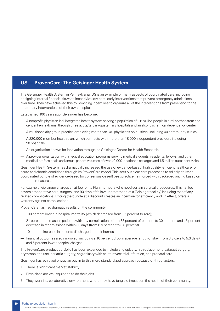### **US — ProvenCare: The Geisinger Health System**

The Geisinger Health System in Pennsylvania, US is an example of many aspects of coordinated care, including designing internal financial flows to incentivize low-cost, early interventions that prevent emergency admissions over time. They have achieved this by providing incentives to organize all of the interventions from prevention to the quaternary interventions of their own hospitals.

Established 100 years ago, Geisinger has become:

- A nonprofit, physician-led, integrated health system serving a population of 2.6 million people in rural northeastern and central Pennsylvania, through three acute/tertiary/quaternary hospitals and an alcohol/chemical dependency center.
- A multispecialty group practice employing more than 740 physicians on 50 sites, including 40 community clinics.
- A 220,000-member health plan, which contracts with more than 18,000 independent providers including 90 hospitals.
- An organization known for innovation through its Geisinger Center for Health Research.
- A provider organization with medical education programs serving medical students, residents, fellows, and other medical professionals and annual patient volumes of over 40,000 inpatient discharges and 1.5 million outpatient visits.

Geisinger Health System has dramatically increased the use of evidence-based, high quality, efficient healthcare for acute and chronic conditions through its ProvenCare model. This sets out clear care processes to reliably deliver a coordinated bundle of evidence-based (or consensus-based) best practice, reinforced with packaged pricing based on outcome measures.

For example, Geisinger charges a flat fee for its Plan members who need certain surgical procedures. This flat fee covers preoperative care, surgery, and 90 days of follow-up treatment (at a Geisinger facility) including that of any related complications. Pricing the bundle at a discount creates an incentive for efficiency and, in effect, offers a warranty against complications.

ProvenCare has had dramatic results on the community:

- 100 percent lower in-hospital mortality (which decreased from 1.5 percent to zero);
- 21 percent decrease in patients with any complications (from 38 percent of patients to 30 percent) and 45 percent decrease in readmissions within 30 days (from 6.9 percent to 3.8 percent)
- 10 percent increase in patients discharged to their homes
- financial outcomes also improved, including a 16 percent drop in average length of stay (from 6.3 days to 5.3 days) and 5 percent lower hospital charges.

The ProvenCare product portfolio has been expanded to include angioplasty, hip replacement, cataract surgery, erythropoietin use, bariatric surgery, angioplasty with acute myocardial infarction, and prenatal care.

Geisinger has achieved physician buy-in to this more standardized approach because of three factors:

- 1) There is significant market stability.
- 2) Physicians are well equipped to do their jobs.
- 3) They work in a collaborative environment where they have tangible impact on the health of their community.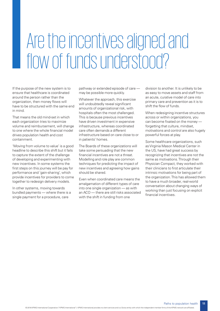## Are the incentives aligned and flow of funds understood?

If the purpose of the new system is to ensure that healthcare is coordinated around the person rather than the organization, then money flows will have to be structured with the same end in mind.

That means the old mind-set in which each organization tries to maximize volume and reimbursement, will change to one where the whole financial model drives population health and cost containment.

'Moving from volume to value' is a good headline to describe this shift but it fails to capture the extent of the challenge of developing and experimenting with new incentives. In some systems the first steps on this journey will be pay for performance and 'gain-sharing', which provide incentives for providers to come together to redesign delivery models.

In other systems, moving towards bundled payments — where there is a single payment for a procedure, care

pathway or extended episode of care may be possible more quickly.

Whatever the approach, this exercise will undoubtedly reveal significant amounts of organizational risk, with hospitals often the most challenged. This is because previous incentives have driven investment in expensive infrastructure, whereas coordinated care often demands a different infrastructure based on care close to or in patients' homes.

The Boards of these organizations will take some persuading that the new financial incentives are not a threat. Modelling and role play are common techniques for predicting the impact of new incentives and agreeing how gains should be shared.

Even when coordinated care means the amalgamation of different types of care into one single organization — as with an ACO — there are still risks associated with the shift in funding from one

division to another. It is unlikely to be as easy to move assets and staff from an acute, curative model of care into primary care and prevention as it is to shift the flow of funds.

When redesigning incentive structures across or within organizations, you can become fixated on the money forgetting that culture, mindset, motivations and control are also hugely powerful forces at play.

Some healthcare organizations, such as Virginia Mason Medical Center in the US, have had great success by recognizing that incentives are not the same as motivations. Through their Physician Compact, they worked with their clinicians to first articulate their intrinsic motivations for being part of the organization. This has allowed them to have a much broader, real-world conversation about changing ways of working than just focusing on explicit financial incentives.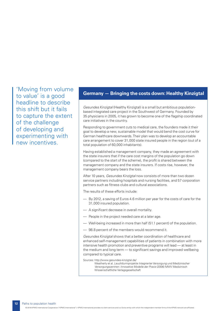'Moving from volume to value' is a good headline to describe this shift but it fails to capture the extent of the challenge of developing and experimenting with new incentives.

### **Germany — Bringing the costs down: Healthy Kinzigtal**

*Gesundes Kinzigtal* (Healthy Kinzigtal) is a small but ambitious populationbased integrated care project in the Southwest of Germany. Founded by 35 physicians in 2005, it has grown to become one of the flagship coordinated care initiatives in the country.

Responding to government cuts to medical care, the founders made it their goal to develop a new, sustainable model that would bend the cost curve for German healthcare downwards. Their plan was to develop an accountable care arrangement to cover 31,000 state insured people in the region (out of a total population of 60,000 inhabitants).

Having established a management company, they made an agreement with the state insurers that if the care cost margins of the population go down (compared to the start of the scheme), the profit is shared between the management company and the state insurers. If costs rise, however, the management company bears the loss.

After 10 years, *Gesundes Kinzigtal* now consists of more than two dozen service partners including hospitals and nursing facilities, and 57 corporation partners such as fitness clubs and cultural associations.

The results of these efforts include:

- By 2012, a saving of Euros 4.6 million per year for the costs of care for the 31,000 insured population.
- A significant decrease in overall mortality.
- People in the project needed care at a later age.
- Well-being increased in more than half (51.1 percent) of the population.
- 98.8 percent of the members would recommend it.

*Gesundes Kinzigtal* shows that a better coordination of healthcare and enhanced self-management capabilities of patients in combination with more intensive health promotion and preventive programs will lead — at least in the medium and long term — to significant savings and improved wellbeing compared to typical care.

Sources: http://www.gesundes-kinzigtal.de/

Weatherly et al. *Leuchtturmprojekte Integrierter Versorgung und Medizinischer Versorgungszentren: Innovative Modelle der Praxis* (2006) MWV Medizinisch Wissenschaftliche Verlagsgesellschaft

**12** Paths to population health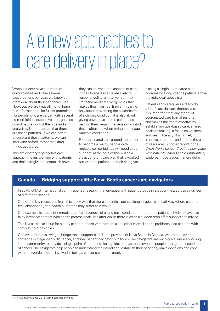## Are new approaches to care delivery in place?

When patients have a number of comorbidities and have several exacerbations per year, we know a great deal about their healthcare use. However, we are typically not utilizing this information to its fullest potential. For people who are very ill, with several co-morbidities, expensive emergencies do not happen out of the blue and an analysis will demonstrate that there are usage patterns. If we can better understand these patterns, we can intervene before, rather than after things get worse.

This anticipatory or proactive care approach means working with patients and their caregivers to establish how

they can deliver some aspects of care in their home. Patients are likely to respond well to an intervention that limits the medical emergencies that makes their lives feel fragile. This is not only about preventing the exacerbations of a chronic condition, it is also about giving power back to the patient and helping them regain the sense of control that is often lost when trying to manage multiple conditions.

For coordinated care around the person to become a reality, people with multiple co-morbidities will need direct support. At the core of this will be a clear, coherent care plan that is worked out with the patient and their caregiver,

placing a single, nominated care coordinator alongside the patient, above the individual specialists.

Patients and caregivers already do a lot of care delivery themselves. It is important that any model of coordinated care formalizes this and makes this more effective by establishing goal-based care, shared decision making, a focus on wellness and health literacy. This is likely to improve outcomes and reduce the use of resources. Another report in the *What Works* series*, Creating new value with patients, carers and communities*, explores these issues in more detail.<sup>7</sup>

### **Canada — Bridging support cliffs: Nova Scotia cancer care navigators**

In 2014, KPMG International commissioned research that engaged with patient groups in six countries, across a number of different diseases.

One of the key messages from this study was that there are critical points along a typical care pathway where patients feel 'abandoned', and health outcomes may suffer as a result.

One example is the point immediately after diagnosis of a long term condition — before the patient is likely to have had fairly intensive contact with health professionals, but after which there is often a sudden drop off in support and advice.

This is a particular issue for elderly patients, those with dementia and other mental health problems, and patients with complex co-morbidities.

One system that is trying to bridge these support cliffs is the province of Nova Scotia in Canada, where the day after someone is diagnosed with cancer, a trained patient navigator is in touch. The navigators are oncological nurses working in the community to provide a single point of contact to help guide, educate and advocate people through the experience of cancer. The navigators help people to understand their condition, establish their priorities, make decisions and cope with the workload often involved in being a cancer patient or caregiver.

<sup>7.</sup> KPMG International, 2014, kpmg.com/patientvalue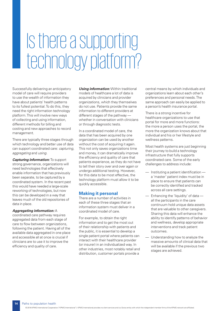## Is there a supporting technology platform?

Successfully delivering an anticipatory model of care will require providers to use the wealth of information they have about patients' health patterns to its fullest potential. To do this, they need the right information technology platform. This will involve new ways of collecting and using information, different methods for billing and costing and new approaches to record management.

There are typically three stages through which technology and better use of data can support coordinated care: *capturing, aggregating* and *using*.

*Capturing information:* To support strong governance, organizations will need technologies that effectively enable information that has previously been separate, to be captured by a coordinated system. In the recent past this would have needed a large-scale reworking of technologies, but now this can be developed in a way that leaves much of the old repositories of data in place.

#### *Aggregating information:* A

coordinated care pathway requires aggregated data from each stage of care to flow between organizations, following the patient. Having all of the available data aggregated in one place and accessible all at once is crucial if clinicians are to use it to improve the efficiency and quality of care.

*Using information:* Within traditional models of healthcare a lot of data is acquired by clinicians and provider organizations, which they themselves do not use. Patients provide the same information to different providers at different stages of the pathway whether in conversation with clinicians or through diagnostic tests.

In a coordinated model of care, the data that has been acquired by one organization can be used by another without the cost of acquiring it again. This not only saves organizations time and money, it can dramatically improve the efficiency and quality of care that patients experience, as they do not have to tell their story over and over again or undergo additional testing. However, for this data to be most effective, the technology platform must allow it to be quickly accessible.

#### **Making it personal**

There are a number of activities in each of these three stages that an information system must deliver in a coordinated model of care.

For example, to obtain the right information and to get the most out of their relationship with patients and the public, it is essential to develop a single patient portal where patients can interact with their healthcare provider (or insurer) in an individualized way. In other industries, most notably retail and distribution, customer portals provide a

central means by which individuals and organizations learn about each other's preferences and personal needs. The same approach can easily be applied to a person's health insurance portal.

There is a strong incentive for healthcare organizations to use that portal for more and more functions: the more a person uses the portal, the more the organization knows about that individual and his or her lifestyle and wellness patterns.

Most health systems are just beginning their journey to build a technology infrastructure that fully supports coordinated care. Some of the early challenges to address include:

- Instituting a patient identification a 'master' patient index must be in place to ensure that patients can be correctly identified and tracked across all care settings.
- Enhancing the 'liquidity' of data all the participants in the care continuum hold unique data assets that are valuable to other caregivers. Sharing this data will enhance the ability to identify patterns of behavior and wellness, develop appropriate interventions and track patient outcomes.
- Understanding how to analyze the massive amounts of clinical data that will be available if the previous two stages are achieved.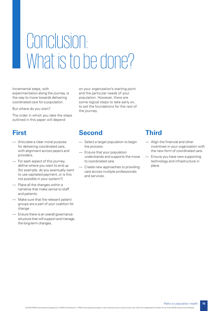## Conclusion: What is to be done?

Incremental steps, with experimentation along the journey, is the way to move towards delivering coordinated care for a population.

But where do you start?

The order in which you take the steps outlined in this paper will depend

on your organization's starting point and the particular needs of your population. However, there are some logical steps to take early on, to set the foundations for the rest of the journey.

### **First**

- Articulate a clear moral purpose for delivering coordinated care, with alignment across payers and providers.
- For each aspect of this journey, define where you want to end up (for example, do you eventually want to use capitated payment, or is this not possible in your system?)
- Place all the changes within a narrative that make sense to staff and patients.
- Make sure that the relevant patient groups are a part of your coalition for change.
- Ensure there is an overall governance structure that will support and manage the long-term changes.

### **Second**

- Select a target population to begin the process.
- Ensure that your population understands and supports the move to coordinated care.
- Create new approaches to providing care across multiple professionals and services.

### **Third**

- Align the financial and other incentives in your organization with the new form of coordinated care.
- Ensure you have new supporting technology and infrastructure in place.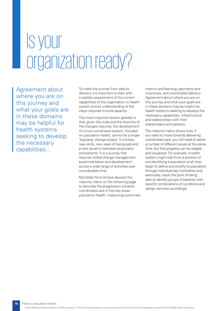## Is your organization ready?

Agreement about where you are on this journey and what your goals are in these domains may be helpful for health systems seeking to develop the necessary capabilities...

To make the journey from idea to delivery it is important to start with a realistic assessment of the current capabilities of the organization or health system and an understanding of the steps required to build capacity.

The most important lesson globally is that, given the scale and the diversity of the changes required, the development of a truly coordinated system, focused on population health, cannot be a single 'big bang' change project. It involves new skills, new ways of being paid and a new dynamic between physicians and patients. It is a journey that requires skilled change management, experimentation and development across a wide range of activities over considerable time.

McClellan M et al have devised the maturity matrix on the following page to describe the progression towards coordinated care in five key areas: population health; measuring outcomes;

metrics and learning; payments and incentives; and coordinated delivery. Agreement about where you are on this journey and what your goals are in these domains may be helpful for health systems seeking to develop the necessary capabilities, infrastructure and relationships with their stakeholders and patients.

The maturity matrix shows how, if you want to move towards delivering coordinated care, you will need to tackle a number of different issues at the same time, but that progress can be staged and visualized. For example, a health system might start from a position of not identifying a population at all, then begin to define and stratify its population through individual key morbidities and, eventually, reach the point of being able to identify groups of patients with specific combinations of conditions and design services accordingly.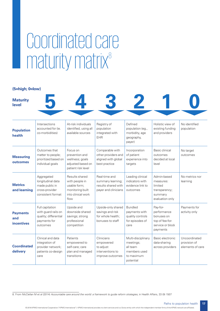## Coordinated care maturity matrix<sup>8</sup>

| $(5 = high; 0 = low)$                       |                                                                                             |                                                                                                    |                                                                                   |                                                                                        |                                                                                          |                                                   |  |
|---------------------------------------------|---------------------------------------------------------------------------------------------|----------------------------------------------------------------------------------------------------|-----------------------------------------------------------------------------------|----------------------------------------------------------------------------------------|------------------------------------------------------------------------------------------|---------------------------------------------------|--|
| <b>Maturity</b><br>level                    |                                                                                             |                                                                                                    |                                                                                   |                                                                                        |                                                                                          |                                                   |  |
| <b>Population</b><br>health                 | Intersections<br>accounted for (ie.<br>co-morbidities)                                      | At-risk individuals<br>identified, using all<br>available sources                                  | Registry of<br>population<br>integrated with<br><b>EHR</b>                        | Defined<br>population (eq.,<br>morbidity, age<br>geography,<br>payer)                  | Holistic view of<br>existing funding<br>and providers                                    | No identified<br>population                       |  |
| <b>Measuring</b><br>outcomes                | Outcomes that<br>matter to people;<br>prioritized based on<br>individual goals              | Focus on<br>prevention and<br>wellness; goals<br>adjusted based on<br>patient risk level           | Comparable with<br>other providers and<br>aligned with global<br>best practice    | Incorporation<br>of patient<br>experience into<br>targets                              | Basic clinical<br>outcomes<br>decided at local<br>level                                  | No target<br>outcomes                             |  |
| <b>Metrics</b><br>and learning              | Aggregated<br>longitudinal data<br>made public in<br>cross-provider<br>consistent format    | Results shared<br>with people in<br>usable form;<br>monitoring built<br>into clinical work<br>flow | Real-time and<br>summary learning;<br>results shared with<br>payer and clinicians | Leading clinical<br>indicators with<br>evidence link to<br>outcomes                    | Admin-based<br>measures:<br>limited<br>transparency;<br>summary<br>evaluation only       | No metrics nor<br>learning                        |  |
| <b>Payments</b><br>and<br><b>incentives</b> | Full capitation<br>with guard rails on<br>quality; differential<br>payments for<br>outcomes | Upside and<br>downside shared<br>savings; strong<br>professional<br>competition                    | Upside-only shared<br>savings and risk<br>for whole health;<br>bonuses to staff   | <b>Bundled</b><br>payments with<br>quality controls<br>for episodes of<br>care         | Pay-for-<br>performance<br>bonuses on<br>top of fee-for-<br>service or block<br>payments | Payments for<br>activity only                     |  |
| <b>Coordinated</b><br>delivery              | Clinical and data<br>integration of<br>provider network;<br>patients co-design<br>care      | Patients<br>empowered to<br>self-care; care<br>plan and managed<br>transitions                     | Clinicians<br>empowered<br>to adjust<br>interventions to<br>improve outcomes      | Multi-disciplinary<br>meetings;<br>all team<br>members used<br>to maximum<br>potential | Basic electronic<br>data-sharing<br>across providers                                     | Uncoordinated<br>provision of<br>elements of care |  |

8. From McClellan M et al (2014) *Accountable care around the world: a framework to guide reform strategies*, in Health Affairs, 33 (9) 1507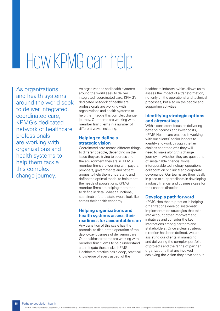## How KPMG can help

As organizations and health systems around the world seek to deliver integrated, coordinated care, KPMG's dedicated network of healthcare professionals are working with organizations and health systems to help them tackle this complex change journey.

As organizations and health systems around the world seek to deliver integrated, coordinated care, KPMG's dedicated network of healthcare professionals are working with organizations and health systems to help them tackle this complex change journey. Our teams are working with member firm clients in a number of different ways, including:

#### **Helping to define a strategic vision**

Coordinated care means different things to different people, depending on the issue they are trying to address and the environment they are in. KPMG member firms are working with payers, providers, governments and patient groups to help them understand and define the optimal model to help meet the needs of populations. KPMG member firms are helping them then to define in detail what a functional, sustainable future state would look like across their health economy.

### **Helping organizations and health systems assess their readiness for accountable care**

Any transition of this scale has the potential to disrupt the operation of the day-to-day business of delivering care. Our healthcare teams are working with member firm clients to help understand and mitigate those risks. KPMG Healthcare practice has a deep, practical knowledge of every aspect of the

healthcare industry, which allows us to assess the impact of a transformation, not only on the operational and technical processes, but also on the people and supporting activities.

### **Identifying strategic options and alternatives**

With a consistent focus on delivering better outcomes and lower costs, KPMG Healthcare practice is working with our clients' senior leaders to identify and work through the key choices and trade-offs they will need to make along this change journey — whether they are questions of sustainable financial flows, interoperable technology, operational collaboration or clinical and corporate governance. Our teams are then ideally in place to support clients in developing a robust financial and business case for their chosen direction.

### **Develop a path forward**

KPMG Healthcare practice is helping organizations develop systematic implementation strategies that take into account other improvement initiatives and consider the key interactions among partners and stakeholders. Once a clear strategic direction has been defined, we are assisting our clients in managing and delivering the complex portfolio of projects and the range of partner organizations that are involved in, achieving the vision they have set out.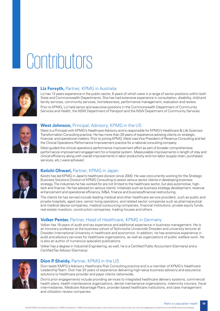## Contributors



#### **Liz Forsyth,** Partner, KPMG in Australia

Liz has 13 years experience in the public sector, 6 years of which were in a range of senior positions within both State and Commonwealth Departments. She has had extensive experience in consultation, disability, child and family services, community services, homelessness, performance management, evaluation and review. Prior to KPMG, Liz held senior and executive positions in the Commonwealth Department of Community

Services and Health, the NSW Department of Transport and the NSW Department of Community Services.



#### **West Johnson,** Principal, Advisory, KPMG in the US

West is a Principal with KPMG's Healthcare Advisory and is responsible for KPMG's Healthcare & Life Sciences Transformation Consulting practice. He has more than 29 years of experience advising clients on strategic, financial, and operational matters. Prior to joining KPMG, West was Vice President of Revenue Consulting and led the Clinical Operations Performance Improvement practice for a national consulting company.

West guided the clinical operations performance improvement effort as part of broader comprehensive performance improvement engagement for a hospital system. Measureable improvements in length of stay and clinical efficiency along with overall improvements in labor productivity and non-labor (supply chain, purchased services, etc.) were achieved.



### **Keiichi Ohwari,** Partner, KPMG in Japan

Keiichi has led KPMG in Japan's healthcare division since 2000. He was concurrently working for the Strategic Business Solutions Division of KPMG Consulting to assist various sector clients in developing business strategy. The industries he has worked for are not limited to the healthcare sector, but also automotive, hightech and finance. He has advised on various clients' initiatives such as business strategy development, revenue enhancement and operational efficiency, M&A, finance and business/financial restructuring.

The clients he has served include leading medical and other healthcare service providers, such as public and private hospitals, aged care, senior living operators, and related sector companies such as pharmaceutical and medical device companies, medical outsourcing companies, financial institutions, private equity funds, real estate investors, construction companies, trading houses and others.



### **Volker Penter,** Partner, Head of Healthcare, KPMG in Germany

Volker has 18 years of audit and tax experience and additional experience in business management. He is an honorary professor at the business school of Technische Universität Dresden and university lecturer at Dresden International University in healthcare and economics. In addition, he has extensive experience in audit and advisory services for healthcare organizations, as well as organizations of public welfare work. He is also an author of numerous specialist publications.

Volker has a degree in Industrial Engineering, as well, he is a Certified Public Accountant (Germany) and a Certified Tax Advisor (Germany).



### **Dion P. Sheidy, Partner, KPMG in the US**

Dion leads KMPG's Advisory Healthcare Risk Consulting practice and is a member of KPMG's Healthcare Leadership Team. Dion has 25 years of experience delivering high-value business advisory and assurance solutions to healthcare provider and payer clients nationwide.

Dion's prior engagements include providing services to integrated healthcare delivery systems, commercial health plans, health maintenance organizations, dental maintenance organizations, indemnity insurers, fiscal intermediaries, Medicare Advantage Plans, provider based healthcare institutions, and case management and utilization review companies.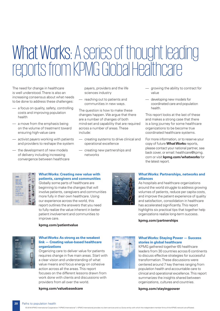### What Works: A series of thought leading reports from KPMG Global Healthcare

The need for change in healthcare is well understood. There is also an increasing consensus about what needs to be done to address these challenges:

- a focus on quality, safety, controlling costs and improving population health
- a move from the emphasis being on the volume of treatment toward ensuring high-value care
- activist payers working with patients and providers to reshape the system
- the development of new models of delivery including increasing convergence between healthcare

payers, providers and the life sciences industry

— reaching out to patients and communities in new ways.

The question is how to make these changes happen. We argue that there are a number of changes of both mind-set and capability that are required across a number of areas. These include:

- creating systems to drive clinical and operational excellence
- creating new partnerships and networks
- growing the ability to contract for value
- developing new models for coordinated care and population health.

This report looks at the last of these and makes a strong case that there is a long journey for some healthcare organizations to be become true coordinated healthcare systems.

For more information, or to reserve your copy of future **What Works** reports, please contact your national partner, see back cover, or email: healthcare@kpmg. com or visit **[kpmg.com/whatworks](http://www.kpmg.com/whatworks)** for the latest report.



#### **What Works: Creating new value with patients, caregivers and communities**

Globally some parts of healthcare are beginning to make the changes that will involve patients, caregivers and communities more fully in their own healthcare. Using our experience across the world, this report outlines the answers that you need to fully realize the value inherent in better patient involvement and communities to improve care.

#### **[kpmg.com/patientvalue](http://www.kpmg.com/patientvalue)**



#### **What Works: As strong as the weakest link — Creating value-based healthcare organizations**

Organizing care to deliver value for patients requires change in five main areas. Start with a clear vision and understanding of what value means and focus energy on cohesive action across all the areas. This report focuses on the different lessons drawn from work done with clients and discussions with providers from all over the world.

#### **[kpmg.com/valuebasedcare](http://www.kpmg.com/valuebasedcare)**



#### **What Works: Partnerships, networks and alliances**

As hospitals and healthcare organizations around the world struggle to address growing volumes of patients, reduce per capita costs, and improve the patient experience of quality and satisfaction, consolidation in healthcare has accelerated significantly. This report highlights six practical tips that together help organizations realize long-term success.

**[kpmg.com/partnerships](http://www.kpmg.com/partnerships)**



#### **What Works: Staying Power — Success stories in global healthcare**

KPMG gathered together 65 healthcare leaders from 30 countries across 6 continents to discuss effective strategies for successful transformation. These discussions were centered around 7 key themes ranging from population health and accountable care to clinical and operational excellence. This report summarizes the insights shared between organizations, cultures and countries.

**[kpmg.com/stayingpower](http://www.kpmg.com/stayingpower)**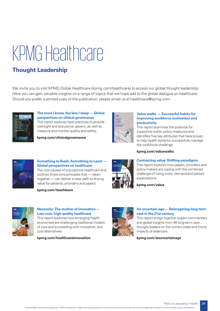## KPMG Healthcare

### **Thought Leadership**

We invite you to visit KPMG Global Healthcare (kpmg.com/healthcare) to access our global thought leadership. Here you can gain valuable insights on a range of topics that we hope add to the global dialogue on healthcare. Should you prefer a printed copy of the publication, please email us at healthcare@kpmg.com.

![](_page_22_Picture_3.jpeg)

**The more I know, the less I sleep — Global perspectives on clinical governance**  This report explores best practices to provide oversight and assurance, govern, as well as measure and monitor quality and safety.

**[kpmg.com/clinicalgovernance](http://www.kpmg.com/clinicalgovernance)**

![](_page_22_Picture_6.jpeg)

#### **Value walks — Successful habits for improving workforce motivation and productivity**

This report examines the potential for supportive public policy measures and identifies five key attributes that have proven to help health systems successfully manage the workforce challenge.

![](_page_22_Picture_9.jpeg)

**Something to Teach, Something to Learn — Global perspectives on healthcare** The root causes of sub-optimal healthcare and outlines three core principles that — taken together — can deliver a clear path to driving

value for patients, providers and payers.

**[kpmg.com/teachlearn](http://www.kpmg.com/teachlearn)**

![](_page_22_Picture_12.jpeg)

### **[kpmg.com/valuewalks](http://www.kpmg.com/valuewalks)**

#### **Contracting value: Shifting paradigms**

This report explores how payers, providers and policy-makers are coping with the combined challenge of rising costs, demand and patient expectations.

**[kpmg.com/value](http://www.kpmg.com/value)** 

![](_page_22_Picture_17.jpeg)

### **Necessity: The mother of innovation — Low-cost, high-quality healthcare**  This report explores how emerging health

economies are challenging traditional models of care and succeeding with innovative, lowcost alternatives.

**[kpmg.com/healthcareinnovation](http://www.kpmg.com/healthcareinnovation)**

![](_page_22_Picture_21.jpeg)

#### **An uncertain age — Reimagining long term care in the 21st century**

This report brings together expert commentary and global insights from 46 long-term care thought leaders on the current state and future impacts of eldercare.

**[kpmg.com/anuncertainage](http://www.kpmg.com/anuncertainage)**